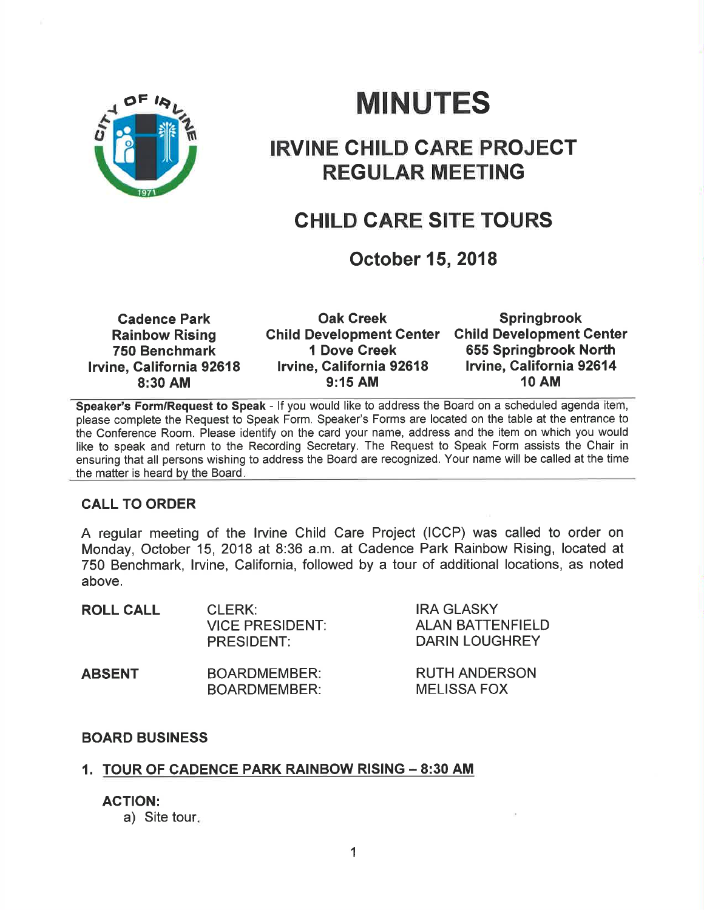

# MINUTES

## IRVINE CHILD CARE PROJECT REGULAR MEETING

### CHILD CARE SITE TOURS

### October 15,2018

| <b>Cadence Park</b>      | <b>Oak Creek</b>                | <b>Springbrook</b>              |
|--------------------------|---------------------------------|---------------------------------|
| <b>Rainbow Rising</b>    | <b>Child Development Center</b> | <b>Child Development Center</b> |
| 750 Benchmark            | <b>1 Dove Creek</b>             | 655 Springbrook North           |
| Irvine, California 92618 | Irvine, California 92618        | Irvine, California 92614        |
| 8:30 AM                  | $9:15$ AM                       | <b>10 AM</b>                    |

Speaker's Form/Request to Speak - If you would like to address the Board on a scheduled agenda item, please complete the Request to Speak Form. Speaker's Forms are located on the table at the entrance to the Conference Room. Please identify on the card your name, address and the item on which you would like to speak and return to the Recording Secretary. The Request to Speak Form assists the Chair in ensuring that all persons wishing to address the Board are recognized. Your name will be called at the time the matter is heard by the Board

#### CALL TO ORDER

A regular meeting of the lrvine Child Care Project (ICCP) was called to order on Monday, October 15,2018 at 8:36 a.m. at Cadence Park Rainbow Rising, located at 750 Benchmark, lrvine, California, followed by a tour of additional locations, as noted above.

| <b>ROLL CALL</b> | CLERK:<br><b>VICE PRESIDENT:</b><br>PRESIDENT: | <b>IRA GLASKY</b><br><b>ALAN BATTENFIELD</b><br><b>DARIN LOUGHREY</b> |
|------------------|------------------------------------------------|-----------------------------------------------------------------------|
| <b>ABSENT</b>    | <b>BOARDMEMBER:</b><br><b>BOARDMEMBER:</b>     | <b>RUTH ANDERSON</b><br><b>MELISSA FOX</b>                            |

#### BOARD BUSINESS

#### 1. TOUR OF CADENCE PARK RAINBOW RISING - 8:30 AM

ACTION:

a) Site tour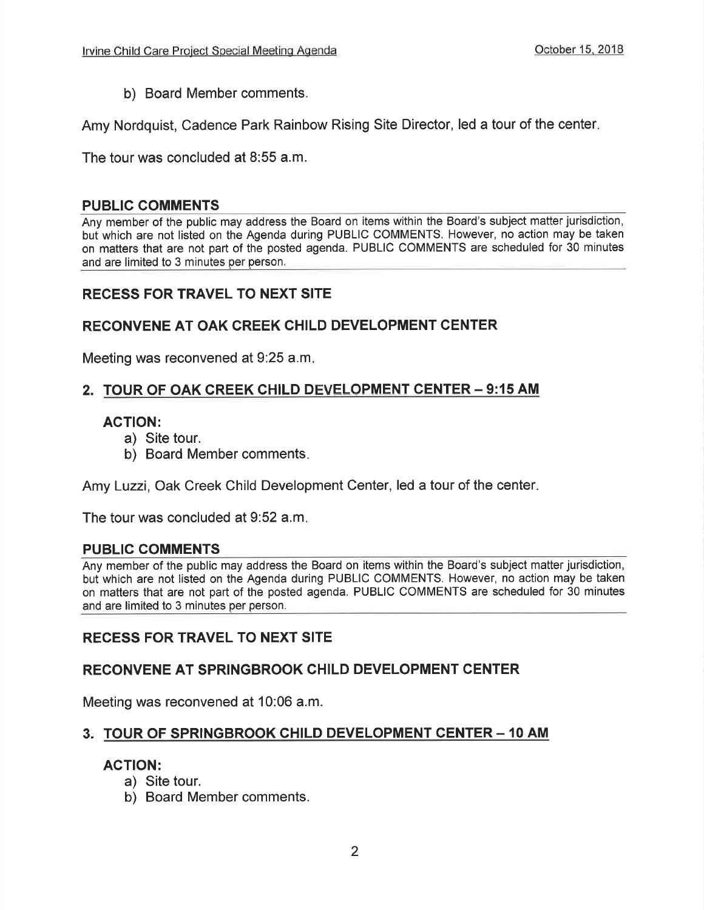b) Board Member comments.

Amy Nordquist, Cadence Park Rainbow Rising Site Director, led a tour of the center

The tour was concluded at 8:55 a.m.

#### PUBLIC COMMENTS

Any member of the public may address the Board on items within the Board's subject matter jurisdiction, but which are not listed on the Agenda during PUBLIC COMMENTS. However, no action may be taken on matters that are not part of the posted agenda. PUBLIC COMMENTS are scheduled for 30 minutes and are limited to 3 minutes per person.

#### RECESS FOR TRAVEL TO NEXT SITE

#### RECONVENE AT OAK CREEK CHILD DEVELOPMENT CENTER

Meeting was reconvened at 9:25 a.m

#### 2. TOUR OF OAK CREEK CHILD DEVELOPMENT CENTER - 9:15 AM

#### AGTION:

- a) Site tour.
- b) Board Member comments

Amy Luzzi, Oak Creek Child Development Center, led a tour of the center

The tour was concluded at 9:52 a.m

#### PUBLIC COMMENTS

Any member of the public may address the Board on items within the Board's subject matter jurisdiction, but which are not listed on the Agenda during PUBLIC COMMENTS. However, no action may be taken on matters that are not part of the posted agenda. PUBLIC COMMENTS are scheduled for 30 minutes and are limited to 3 minutes per person.

#### RECESS FOR TRAVEL TO NEXT SITE

#### RECONVENE AT SPRINGBROOK CHILD DEVELOPMENT CENTER

Meeting was reconvened at 10:06 a.m.

#### 3. TOUR OF SPRINGBROOK CHILD DEVELOPMENT CENTER - 10 AM

#### ACTION:

- a) Site tour.
- b) Board Member comments.